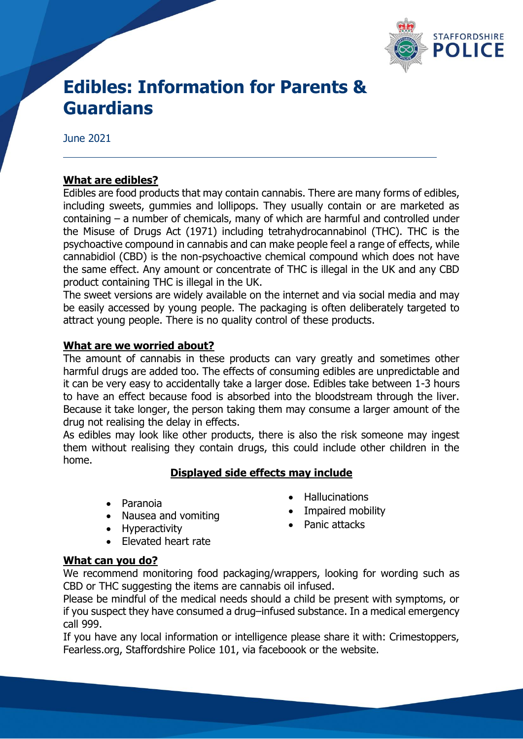

# **Edibles: Information for Parents & Guardians**

June 2021

### **What are edibles?**

Edibles are food products that may contain cannabis. There are many forms of edibles, including sweets, gummies and lollipops. They usually contain or are marketed as containing – a number of chemicals, many of which are harmful and controlled under the Misuse of Drugs Act (1971) including tetrahydrocannabinol (THC). THC is the psychoactive compound in cannabis and can make people feel a range of effects, while cannabidiol (CBD) is the non-psychoactive chemical compound which does not have the same effect. Any amount or concentrate of THC is illegal in the UK and any CBD product containing THC is illegal in the UK.

The sweet versions are widely available on the internet and via social media and may be easily accessed by young people. The packaging is often deliberately targeted to attract young people. There is no quality control of these products.

#### **What are we worried about?**

The amount of cannabis in these products can vary greatly and sometimes other harmful drugs are added too. The effects of consuming edibles are unpredictable and it can be very easy to accidentally take a larger dose. Edibles take between 1-3 hours to have an effect because food is absorbed into the bloodstream through the liver. Because it take longer, the person taking them may consume a larger amount of the drug not realising the delay in effects.

As edibles may look like other products, there is also the risk someone may ingest them without realising they contain drugs, this could include other children in the home.

#### **Displayed side effects may include**

- Paranoia
- Nausea and vomiting
- Hyperactivity
- Hallucinations
- Impaired mobility
- Panic attacks
- Elevated heart rate

#### **What can you do?**

We recommend monitoring food packaging/wrappers, looking for wording such as CBD or THC suggesting the items are cannabis oil infused.

Please be mindful of the medical needs should a child be present with symptoms, or if you suspect they have consumed a drug–infused substance. In a medical emergency call 999.

If you have any local information or intelligence please share it with: Crimestoppers, Fearless.org, Staffordshire Police 101, via faceboook or the website.